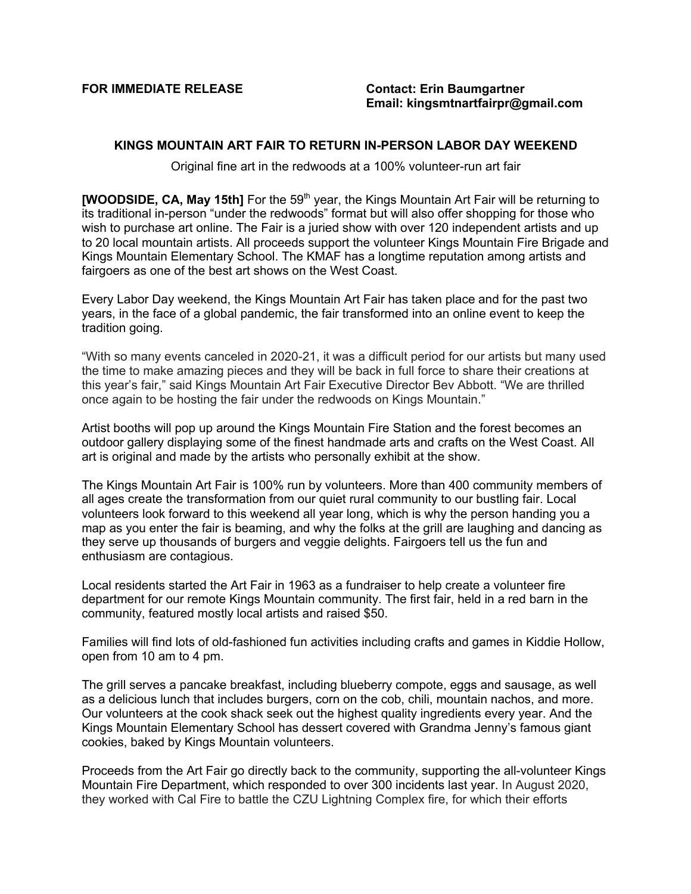**FOR IMMEDIATE RELEASE Contact: Erin Baumgartner**

## **KINGS MOUNTAIN ART FAIR TO RETURN IN-PERSON LABOR DAY WEEKEND**

Original fine art in the redwoods at a 100% volunteer-run art fair

**[WOODSIDE, CA, May 15th]** For the 59<sup>th</sup> year, the Kings Mountain Art Fair will be returning to its traditional in-person "under the redwoods" format but will also offer shopping for those who wish to purchase art online. The Fair is a juried show with over 120 independent artists and up to 20 local mountain artists. All proceeds support the volunteer Kings Mountain Fire Brigade and Kings Mountain Elementary School. The KMAF has a longtime reputation among artists and fairgoers as one of the best art shows on the West Coast.

Every Labor Day weekend, the Kings Mountain Art Fair has taken place and for the past two years, in the face of a global pandemic, the fair transformed into an online event to keep the tradition going.

"With so many events canceled in 2020-21, it was a difficult period for our artists but many used the time to make amazing pieces and they will be back in full force to share their creations at this year's fair," said Kings Mountain Art Fair Executive Director Bev Abbott. "We are thrilled once again to be hosting the fair under the redwoods on Kings Mountain."

Artist booths will pop up around the Kings Mountain Fire Station and the forest becomes an outdoor gallery displaying some of the finest handmade arts and crafts on the West Coast. All art is original and made by the artists who personally exhibit at the show.

The Kings Mountain Art Fair is 100% run by volunteers. More than 400 community members of all ages create the transformation from our quiet rural community to our bustling fair. Local volunteers look forward to this weekend all year long, which is why the person handing you a map as you enter the fair is beaming, and why the folks at the grill are laughing and dancing as they serve up thousands of burgers and veggie delights. Fairgoers tell us the fun and enthusiasm are contagious.

Local residents started the Art Fair in 1963 as a fundraiser to help create a volunteer fire department for our remote Kings Mountain community. The first fair, held in a red barn in the community, featured mostly local artists and raised \$50.

Families will find lots of old-fashioned fun activities including crafts and games in Kiddie Hollow, open from 10 am to 4 pm.

The grill serves a pancake breakfast, including blueberry compote, eggs and sausage, as well as a delicious lunch that includes burgers, corn on the cob, chili, mountain nachos, and more. Our volunteers at the cook shack seek out the highest quality ingredients every year. And the Kings Mountain Elementary School has dessert covered with Grandma Jenny's famous giant cookies, baked by Kings Mountain volunteers.

Proceeds from the Art Fair go directly back to the community, supporting the all-volunteer Kings Mountain Fire Department, which responded to over 300 incidents last year. In August 2020, they worked with Cal Fire to battle the CZU Lightning Complex fire, for which their efforts